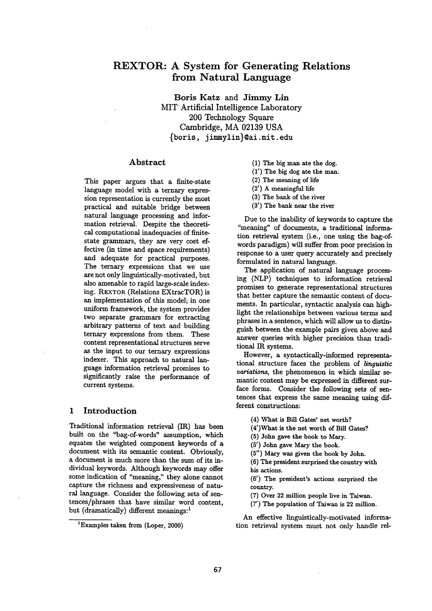# **REXTOR: A System for Generating Relations from Natural Language**

**Boris Katz and Jimmy Lin MIT Artificial Intelligence Laboratory 200 Technology Square Cambridge, MA 02139 USA {boris, j immylin}@ai.mit, edu** 

## Abstract

This paper argues that a finite-state language model with a ternary expression representation is currently the most practical and suitable bridge between natural language processing and information retrieval. Despite the theoretical computational inadequacies of finitestate grammars, they are very cost effective (in time and space requirements) and adequate for practical purposes. The ternary expressions that we use are not only linguistically-motivated, but also amenable to rapid large-scale indexing. REXTOR (Relations EXtracTOR) is an implementation of this model; in one uniform framework, the system provides two separate grammars for extracting arbitrary patterns of text and building ternary expressions from them. These content representational structures serve as the input to our ternary expressions indexer. This approach to natural language information retrieval promises to significantly raise the performance of current systems.

## 1 Introduction

Traditional information retrieval (IR) has been built on the "bag-of-words" assumption, which equates the weighted component keywords of a document with its semantic content. Obviously, a document is much more than the sum of its individual keywords. Although keywords may offer some indication of "meaning," they alone cannot capture the richness and expressiveness of natural language. Consider the following sets of sentences/phrases that have similar word content, but (dramatically) different meanings:<sup>1</sup>

- (1) The big man ate the dog.
- (1') The big dog ate the man.
- (2) The meaning of life
- $(2')$  A meaningful life
- (3) The bank of the **river**
- (3') The bank near the river

Due to the inability of keywords to capture the "meaning" of documents, a traditional information retrieval system (i.e., one using the bag-ofwords paradigm) will suffer from poor precision in response to a user query accurately and precisely formulated in natural language.

The application of natural language processing (NLP) techniques to information retrieval promises to generate representational structures that better capture the semantic content of documents. In particular, syntactic analysis can highlight the relationships between various terms and phrases in a sentence, which will allow us to distinguish between the example pairs given above and answer queries with higher precision than traditional IR systems.

However, a syntactically-informed representational structure faces the problem of *Hnguistic variations,* the phenomenon in which similar semantic content may be expressed in different surface forms. Consider the following sets of sentences that express the same meaning using different constructions:

- (4) What is Bill Gates' net worth?
- (4')What is the net worth of Bill Gates?
- (5) John gave the book to Mary.
- (5') John gave Mary the book.
- (5") Mary was given the book by John.
- (6) The president surprised the country with his actions.
- (6') The president's actions surprised the country.
- (7) Over 22 million people live in Taiwan.
- (7') The population of Taiwan is 22 million.

An effective linguistically-motivated information retrieval system must not only handle rel-

<sup>&</sup>lt;sup>1</sup>Examples taken from (Loper, 2000)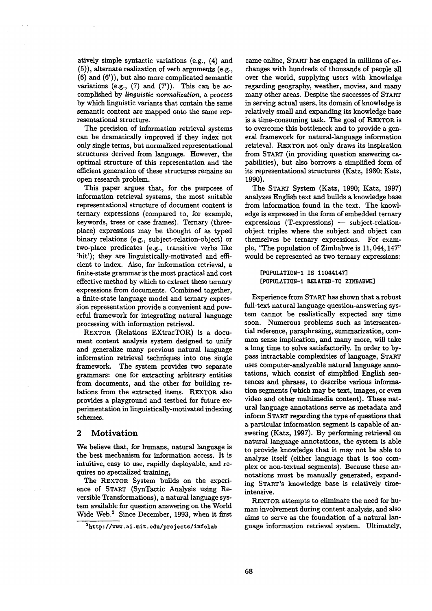atively simple syntactic variations (e.g., (4) and (5)), alternate realization of verb arguments (e.g., (6) and (6')), but also more complicated semantic variations (e.g.,  $(7)$  and  $(7')$ ). This can be accomplished by *linguistic normalization,* a process by which linguistic variants that contain the same semantic content are mapped onto the same representational structure.

The precision of information retrieval systems can be dramatically improved if they index not only single terms, but normelized representational structures derived from language. However, the optimal structure of this representation and the efficient generation of these structures remains an open research problem.

This paper argues that, for the purposes of information retrieval systems, the most suitable representational structure of document content is ternary expressions (compared to, for example, keywords, trees or case frames). Ternary (threeplace) expressions may be thought of as typed binary relations (e.g., subject-relation-object) or two-place predicates (e.g., transitive verbs like 'hit'); they are linguistically-motivated and efficient to index. Also, for information retrieval, a finite-state grammar is the most practical and cost effective method by which to extract these ternary expressions from documents. Combined together, a finite-state language model and ternary expression representation provide a convenient and powerful framework for integrating natural language processing with information retrieval.

REXTOR (Relations EXtracTOR) is a document content analysis system designed to unify and generalize many previous natural language information retrieval techniques into one single framework. The system provides two separate grammars: one for extracting arbitrary entities from documents, and the other for building relations from the extracted items. REXTOR also provides a playground and testbed for future experimentation in linguistically-motivated indexing schemes.

## **2 Motivation**

We believe that, for humans, natural language is the best mechanism for information access. It is intuitive, easy to use, rapidly deployable, and requires no specialized training,

The REXTOR System builds on the experience of START (SynTactic Analysis using Reversible Transformations), a natural language system available for question answering on the World Wide Web.<sup>2</sup> Since December, 1993, when it first came online, START has engaged in millions of exchanges with hundreds of thousands of people all over the world, supplying users with knowledge regarding geography, weather, movies, and many many other areas. Despite the successes of START in serving actual users, its domain of knowledge is relatively small and expanding its knowledge base is a time-consuming task. The goal of REXTOR is to overcome this bottleneck and to provide a general framework for natural-language information retrieval. REXTOR not only draws its inspiration from START (in providing question answering capabilities), but also borrows a simplified form of its representational structures (Katz, 1980; Katz, 1990).

The START System (Katz, 1990; Katz, 1997) analyzes English text and builds a knowledge base from information found in the text. The knowledge is expressed in the form of embedded ternary  $expressions (T-expressions) -- subject-relation$ object triples where the subject and object can themselves be ternary expressions. For example, "The population of Zimbabwe is 11,044,147" would be represented as two ternary expressions:

[POPULATION-1 IS 11044147] [POPULATION-1 RELATED-T0 ZIMBABWE]

Experience from START has shown that a robust full-text natural language question-answering system cannot be realistically expected any time soon. Numerous problems such as intersentential reference, paraphrasing, summarization, common sense implication, and many more, will take a long time to solve satisfactorily. In order to bypass intractable complexities of language, START uses computer-analyzable natural language annotations, which consist of simplified English sentences and phrases, to describe various information segments (which may be text, images, or even video and other multimedia content). These natural language annotations serve as metadata and inform START regarding the type of questions that a particular information segment is capable of answering (Katz, 1997). By performing retrieval on natural language annotations, the system is able to provide knowledge that it may not be able to analyze itself (either language that is too complex or non-textual segments). Because these annotations must be manually generated, expanding START'S knowledge base is relatively timeintensive.

REXTOR attempts to eliminate the need for human involvement during content analysis, and also aims to serve as the foundation of a natural language information retrieval system. Ultimately,

 $2$ http://www.ai.mit.edu/projects/infolab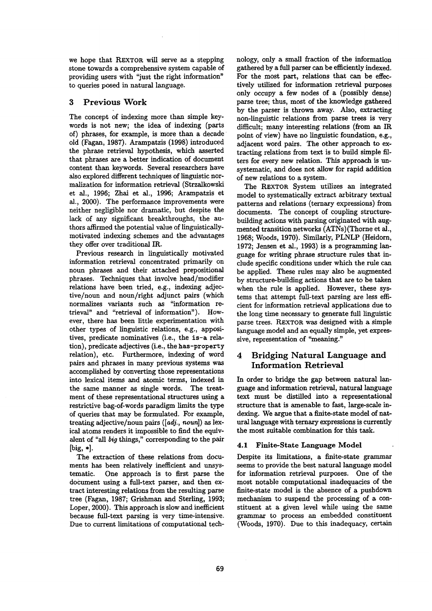we hope that REXTOR will serve as a stepping stone towards a comprehensive system capable of providing users with "just the right information" to queries posed in natural language.

## 3 Previous Work

The concept of indexing more than simple keywords is not new; the idea of indexing (parts of) phrases, for example, is more than a decade old (Fagan, 1987). Arampatzis (1998) introduced the phrase retrieval hypothesis, which asserted that phrases are a better indication of document content than keywords. Several researchers have also explored different techniques of linguistic normalization for information retrieval (Strzalkowski et al., 1996; Zhai et al., 1996; Arampatzis et al., 2000). The performance improvements were neither negligible nor dramatic, but despite the lack of any significant breakthroughs, the authors affirmed the potential value of linguisticallymotivated indexing schemes and the advantages they offer over traditional IR.

Previous research in linguistically motivated information retrieval concentrated primarily on noun phrases and their attached prepositional phrases. Techniques that involve head/modifier relations have been tried, e.g., indexing adjective/noun and noun/right adjunct pairs (which normalizes variants such as "information retrievai" and "retrieval of information"). However, there has been little experimentation with other types of linguistic relations, e.g., appositives, predicate nominatives (i.e., the is-a relation), predicate adjectives (i.e., the has-property relation), etc. Furthermore, indexing of word pairs and phrases in many previous systems was accomplished by converting those representations into lexical items and atomic terms, indexed in the same manner as single words. The treatment of these representational structures using a restrictive bag-of-words paradigm limits the type of queries that may be formulated. For example, treating adjective/noun pairs *([adj., noun]) as lex*ical atoms renders it impossible to find the equivalent of "all *big* things," corresponding to the pair [big, \*].

The extraction of these relations from documents has been relatively inefficient and unsystematic. One approach is to first parse the document using a full-text parser, and then extract interesting relations from the resulting parse tree (Fagan, 1987; Grishman and Sterling, 1993; Loper, 2000). This approach is slow and inefficient because full-text parsing is very time-intensive. Due to current limitations of computational technology, only a small fraction of the information gathered by a full parser can be efficiently indexed. For the most part, relations that can be effectively utilized for information retrieval purposes only occupy a few nodes of a (possibly dense) parse tree; thus, most of the knowledge gathered by the parser is thrown away. Also, extracting non-linguistic relations from parse trees is very difficult; many interesting relations (from an IR point of view) have no linguistic foundation, e.g., adjacent word pairs. The other approach to extracting relations from text is to build simple filters for every new relation. This approach is unsystematic, and does not allow for rapid addition of new relations to a system.

The REXTOR System utilizes an integrated model to systematically extract arbitrary textual patterns and relations (ternary expressions) from documents. The concept of coupling structurebuilding actions with parsing originated with augmented transition networks (ATNs)(Thorne et al., 1968; Woods, 1970). Similarly, PLNLP (Heidorn, 1972; Jensen et al., 1993) is a programming language for writing phrase structure rules that include specific conditions under which the rule can be applied. These rules may also be augmented by structure-building actions that are to be taken when the rule is applied. However, these systems that attempt full-text parsing are less efficient for information retrieval applications due to the long time necessary to generate full linguistic parse trees. REXTOR was designed with a simple language model and an equally simple, yet expressive, representation of "meaning."

# 4 Bridging Natural Language and Information Retrieval

In order to bridge the gap between natural language and information retrieval, natural language text must be distilled into a representational structure that is amenable to fast, large-scale indexing. We argue that a finite-state model of natural language with ternary expressions is currently the most suitable combination for this task.

## 4.1 Finite-State Language Model

Despite its limitations, a finite-state grammar seems to provide the best natural language model for information retrieval purposes. One of the most notable computational inadequacies of the finite-state model is the absence of a pushdown mechanism to suspend the processing of a constituent at a given level while using the same grammar to process an embedded constituent (Woods, 1970). Due to this inadequacy, certain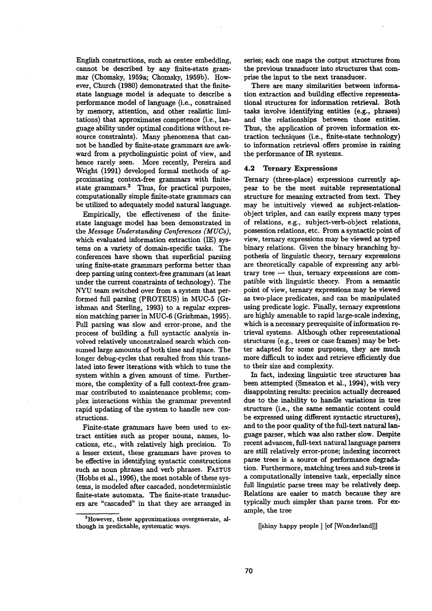English constructions, such as center embedding, cannot be described by any finite-state grammar (Chomsky, 1959a; Chomsky, 1959b). However, Church (1980) demonstrated that the finitestate language model is adequate to describe a performance model of language (i.e., constrained by memory, attention, and other realistic limitations) that approximates competence (i.e., language ability under optimal conditions without resource constraints). Many phenomena that cannot be handled by finite-state grammars are awkward from a psycholinguistic point of view, and hence rarely seen. More recently, Pereira and Wright (1991) developed formal methods of approximating context-free grammars with finitestate grammars. $3$  Thus, for practical purposes, computationally simple finite-state grammars can be utilized to adequately model natural language.

Empirically, the effectiveness of the finitestate language model has been demonstrated in the *Message Understanding Conferences (MUCs),*  which evaluated information extraction (IE) systerns on a variety of domain-specific tasks. The conferences have shown that superficial parsing using finite-state grammars performs better than deep parsing using context-free grammars (at least under the current constraints of technology). The NYU team switched over from a system that performed full parsing (PROTEUS) in MUC-5 (Grishman and Sterling, 1993) to a regular expression matching parser in MUC-6 (Grishman, 1995). Full parsing was slow and error-prone, and the process of building a full syntactic analysis involved relatively unconstrained search which consumed large amounts of both time and space. The longer debug-cycles that resulted from this translated into fewer iterations with which to tune the system within a given amount of time. Furthermore, the complexity of a full context-free grammar contributed to maintenance problems; complex interactions within the grammar prevented rapid updating of the system to handle new constructions.

Finite-state grammars have been used to extract entities such as proper nouns, names, locations, etc., with relatively high precision. To a lesser extent, these grammars have proven to be effective in identifying syntactic constructions such as noun phrases and verb phrases. FASTUS (Hobbs et al., 1996), the most notable of these systems, is modeled after cascaded, nondeterrninistic finite-state automata. The finite-state transducers are "cascaded" in that they are arranged in series; each one maps the output structures from the previous transducer into structures that comprise the input to the next transducer.

There are many similarities between information extraction and building effective representational structures for information retrieval. Both tasks involve identifying entities (e.g., phrases) and the relationships between those entities. Thus, the application of proven information extraction techniques (i.e., finite-state technology) to information retrieval offers promise in raising the performance of IR systems.

#### 4.2 Ternary Expressions

Ternary (three-place) expressions currently appear to be the most suitable representational structure for meaning extracted from text. They may be intuitively viewed as subject-relationobject triples, and can easily express many types of relations, e.g., subject-verb-object relations, possession relations, etc. From a syntactic point of view, ternary expressions may be viewed as typed binary relations. Given the binary branching hypothesis of linguistic theory, ternary expressions are theoretically capable of expressing any arbi $trary tree - thus, ternary expressions are com$ patible with linguistic theory. From a semantic point of view, ternary expressions may be viewed as two-place predicates, and can be manipulated using predicate logic. Finally, ternary expressions are highly amenable to rapid large-scale indexing, which is a necessary prerequisite of information retrieval systems. Although other representational structures (e.g., trees or case frames) may be better adapted for some purposes, they are much more difficult to index and retrieve efficiently due to their size and complexity.

In fact, indexing linguistic tree structures has been attempted (Smeaton et al., 1994), with very disappointing results: precision actually decreased due to the inability to handle variations in tree structure (i.e., the same semantic content could be expressed using different syntactic structures), and to the poor quality of the full-text natural language parser, which was also rather slow. Despite recent advances, full-text natural language parsers are still relatively error-prone; indexing incorrect parse trees is a source of performance degradation. Furthermore, matching trees and sub-trees is a computationally intensive task, especially since full linguistic parse trees may be relatively deep. Relations are easier to match because they are typically much simpler than parse trees. For example, the tree

[[shiny happy people ] [of [Wonderland]]]

<sup>&</sup>lt;sup>3</sup>However, these approximations overgenerate, although in predictable, systematic ways.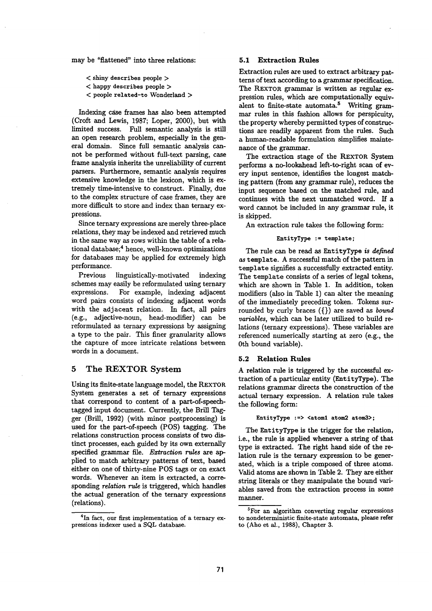may be "flattened" into three relations:

- < shiny describes people >
- < happy describes people >
- < people related-to Wonderland >

Indexing case frames has also been attempted (Croft and Lewis, 1987; Loper, 2000), but with limited success. Full semantic analysis is still an open research problem, especially in the general domain. Since full semantic analysis cannot be performed without full-text parsing, case frame analysis inherits the unreliability of current parsers. Furthermore, semantic analysis requires extensive knowledge in the lexicon, which is extremely time-intensive to construct. Finally, due to the complex structure of case frames, they are more difficult to store and index than ternary expressions.

Since ternary expressions are merely three-place relations, they may be indexed and retrieved much in the same way as rows within the table of a relational database; 4 hence, well-known optimizations for databases may be applied for extremely high performance.

Previous linguistically-motivated indexing schemes may easily be reformulated using ternary expressions. For example, indexing adjacent word pairs consists of indexing adjacent words with the adjacent relation. In fact, all pairs (e.g., adjective-noun, head-modifier) can be reformulated as ternary expressions by assigning a type to the pair. This finer granulaxity allows the capture of more intricate relations between words in a document.

# 5 The REXTOR System

Using its finite-state language model, the REXTOR System generates a set of ternary expressions that correspond to content of a part-of-speechtagged input document. Currently, the Brill Tagger (Brill, 1992) (with minor postprocessing) is used for the part-of-speech (POS) tagging. The relations construction process consists of two distinct processes, each guided by its own externally specified grammar file. *Extraction rules are ap*plied to match arbitrary patterns of text, based either on one of thirty-nine POS tags or on exact words. Whenever an item is extracted, a corresponding *relation rule* is triggered, which handles the actual generation of the ternary expressions (relations).

# **5.1 Extraction Rules**

Extraction rules are used to extract arbitrary patterns of text according to a grammar specification. The REXTOR grammar is written as regular expression rules, which are computationally equivalent to finite-state automata.<sup>5</sup> Writing grammar rules in this fashion allows for perspicuity, the property whereby permitted types of constructions are readily apparent from the rules. Such a human-readable formulation simplifies maintenance of the grammar.

The extraction stage of the REXTOR System performs a no-lookahead left-to-right scan of every input sentence, identifies the longest matching pattern (from any grammar rule), reduces the input sequence based on the matched rule, and continues with the next unmatched word. If a word cannot be included in any grammar rule, it is skipped.

An extraction rule takes the following form:

## **En¢ityType := template;**

The rule can be read as Ent±tyType *is defined*  as template. A successful match of the pattern in template signifies a successfully extracted entity. The template consists of a series of legal tokens, which are shown in Table 1. In addition, token modifiers (also in Table 1) can alter the meaning of the immediately preceding token. Tokens surrounded by curly braces ({}) are saved as *bound variables,* which can be later utilized to build relations (ternary expressions). These variables are referenced numerically starting at zero (e.g., the 0th bound variable).

#### 5.2 Relation Rules

A relation rule is triggered by the successful extraction of a particular entity (EntityType). The relations grammar directs the construction of the actual ternary expression. A relation rule takes the following form:

## EntityType :=> <atom1 atom2 atom3>;

The EntityType is the trigger for the relation, i.e., the rule is applied whenever a string of that type is extracted. The right hand side of the relation rule is the ternary expression to be generated, which is a triple composed of three atoms. Valid atoms are shown in Table 2. They are either string literals or they manipulate the bound variables saved from the extraction process in some manner.

<sup>&</sup>lt;sup>4</sup>In fact, our first implementation of a ternary expressions indexer used a SQL database.

<sup>5</sup>For an algorithm converting regular expressions to nondeterministic finite-state automata, please refer to (Aho et al., 1988), Chapter 3.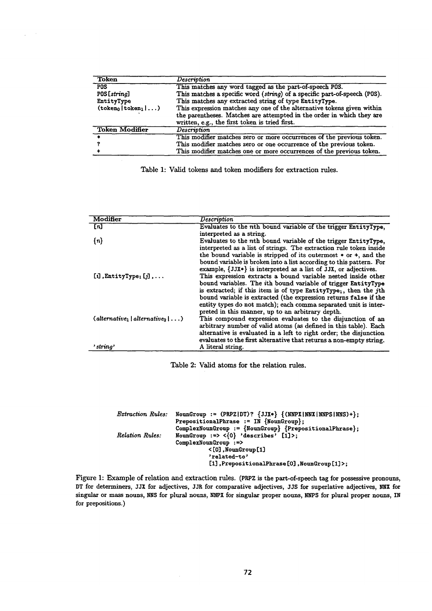| <b>Token</b>          | <b>Description</b>                                                                                                                                                                                |
|-----------------------|---------------------------------------------------------------------------------------------------------------------------------------------------------------------------------------------------|
| <b>POS</b>            | This matches any word tagged as the part-of-speech POS.                                                                                                                                           |
| POS[string]           | This matches a specific word (string) of a specific part-of-speech (POS).                                                                                                                         |
| EntityType            | This matches any extracted string of type EntityType.                                                                                                                                             |
| $(token0   token1 )$  | This expression matches any one of the alternative tokens given within<br>the parentheses. Matches are attempted in the order in which they are<br>written, e.g., the first token is tried first. |
| <b>Token Modifier</b> | Description                                                                                                                                                                                       |
|                       | This modifier matches zero or more occurrences of the previous token.                                                                                                                             |
|                       | This modifier matches zero or one occurrence of the previous token.                                                                                                                               |
|                       | This modifier matches one or more occurrences of the previous token.                                                                                                                              |

Table 1: Valid tokens and token modifiers for extraction rules.

| Modifier                                                            | <i>Description</i>                                                                                                                           |
|---------------------------------------------------------------------|----------------------------------------------------------------------------------------------------------------------------------------------|
| [n]                                                                 | Evaluates to the nth bound variable of the trigger EntityType,                                                                               |
|                                                                     | interpreted as a string.                                                                                                                     |
| $\{n\}$                                                             | Evaluates to the nth bound variable of the trigger EntityType,                                                                               |
|                                                                     | interpreted as a list of strings. The extraction rule token inside                                                                           |
|                                                                     | the bound variable is stripped of its outermost $*$ or $*$ , and the                                                                         |
|                                                                     | bound variable is broken into a list according to this pattern. For                                                                          |
|                                                                     | example, $\{JJX*\}$ is interpreted as a list of JJX, or adjectives.                                                                          |
| $\lbrack i \rbrack$ , EntityType <sub>l</sub> $\lbrack j \rbrack$ , | This expression extracts a bound variable nested inside other                                                                                |
|                                                                     | bound variables. The ith bound variable of trigger EntityType<br>is extracted; if this item is of type $EntityType_1$ , then the <i>i</i> th |
|                                                                     | bound variable is extracted (the expression returns false if the                                                                             |
|                                                                     | entity types do not match); each comma separated unit is inter-                                                                              |
|                                                                     | preted in this manner, up to an arbitrary depth.                                                                                             |
| $(alternative_1   alternative_2   \ldots)$                          | This compound expression evaluates to the disjunction of an                                                                                  |
|                                                                     | arbitrary number of valid atoms (as defined in this table). Each                                                                             |
|                                                                     | alternative is evaluated in a left to right order; the disjunction                                                                           |
|                                                                     | evaluates to the first alternative that returns a non-empty string.                                                                          |
| ' string'                                                           | A literal string.                                                                                                                            |

Table 2: Valid atoms for the relation rules.

```
Eztraction Rules: 
Relation Rules: 
                       \texttt{NounGroup} := (\texttt{PRPZ}|\texttt{DT}) ? \{ \texttt{JJX*} \} \{ (\texttt{NNPX}|\texttt{NNX}|\texttt{NNPS}|\texttt{NNS}) + \}PrepositionalPhrase : = IN {NounGroup} ; 
                       ComplexNounGroup := {NounGroup} {PrepositionalPhrase}; 
                       NounGroup :=> <{0} 'describes ~ [I]>; 
                       ComplexNumGroup :=>
                                    < [0], NounGroup [1]
                                    related-to ~ 
                                    [I], PrepositionalPhrase [0] ,NounGroup [1] >;
```
Figure 1: Example of relation and extraction rules. (PRPZ is the part-of-speech tag for possessive pronouns, DT for determiners, JJX for adjectives, JJR for comparative adjectives, JJS for superlative adjectives, NNX for singular or mass nouns, NNS for plural nouns, NNPX for singular proper nouns, NNPS for plural proper nouns, IN for prepositions.)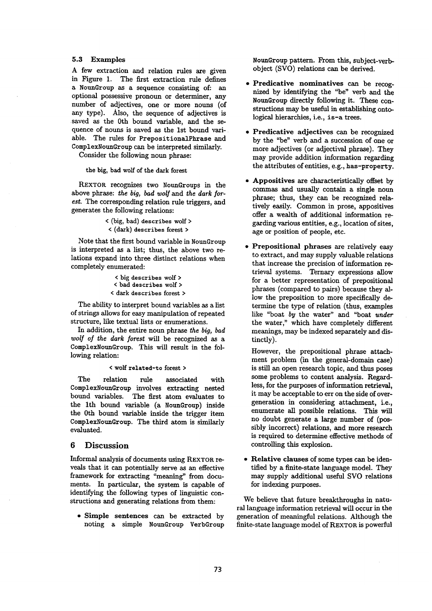## 5.3 Examples

A few extraction and relation rules are given in Figure 1. The first extraction rule defines a NounGroup as a sequence consisting of: an optional possessive pronoun or determiner, any number of adjectives, one or more nouns (of any type). Also, the sequence of adjectives is saved as the 0th bound variable, and the sequence of nouns is saved as the 1st bound variable. The rules for PrepositionalPhrase and ComplexNounGroup can be interpreted similarly.

Consider the following noun phrase:

the big, bad wolf of the dark forest

REXTOR recognizes two NounGroups in the above phrase: *the big, bad wolf and the dark forest.* The corresponding relation rule triggers, and generates the following relations:

> < (big, bad) describes wolf > < (dark) describes forest >

Note that the first bound variable in NounGroup is interpreted as a list; thus, the above two relations expand into three distinct relations when completely enumerated:

> < big describes wolf > < bad describes wolf > < dark describes forest >

The ability to interpret bound variables as a list of strings allows for easy manipulation of repeated structure, like textual lists or enumerations.

In addition, the entire noun phrase *the big, bad wolf of the dark/forest* will be recognized as a ComplexNounGroup. This will result in the following relation:

< wolf related-to forest >

The relation rule associated with ComplexNounGroup involves extracting nested bound variables. The first atom evaluates to the lth bound variable (a NounGroup) inside the 0th bound variable inside the trigger item ComplexNounGroup. The third atom is similarly evaluated.

## 6 Discussion

Informal analysis of documents using REXTOR reveals that it can potentially serve as an effective framework for extracting "meaning" from documents. In particular, the system is capable of identifying the following types of linguistic constructions and generating relations from them:

• Simple sentences can be extracted by noting a simple NounGroup VerbGroup NounGroup pattern. From this, subject-verl> object (SVO) relations can be derived.

- Predicative nominatives can be recognized by identifying the "be" verb and the NounGroup directly following it. These constructions may be useful in establishing ontological hierarchies, i.e., is-a trees.
- Predicative adjectives can be recognized by the "be" verb and a succession of one or more adjectives (or adjectival phrase). They may provide addition information regarding the attributes of entities, e.g., has-property.
- Appositives are characteristically offset by commas and usually contain a single noun phrase; thus, they can be recognized relatively easily. Common in prose, appositives offer a wealth of additional information regarding various entities, e.g., location of sites, age or position of people, etc.
- Prepositional phrases are relatively easy to extract, and may supply valuable relations that increase the precision of information retrieval systems. Ternary expressions allow for a better representation of prepositional phrases (compared to pairs) because they allow the preposition to more specifically determine the type of relation (thus, examples like "boat *by* the water" and "boat *under*  the water," which have completely different meanings, may be indexed separately and distinctly).

However, the prepositional phrase attachment problem (in the general-domain case) is still an open research topic, and thus poses some problems to content analysis. Regardless, for the purposes of information retrieval, it may be acceptable to err on the side of overgeneration in considering attachment, i.e., enumerate all possible relations. This will no doubt generate a large number of (possibly incorrect) relations, and more research is required to determine effective methods of controlling this explosion.

• Relative clauses of some types can be identiffed by a finite-state language model. They may supply additional useful SVO relations for indexing purposes.

We believe that future breakthroughs in natural language information retrieval will occur in the generation of meaningful relations. Although the finite-state language model of REXTOR is powerful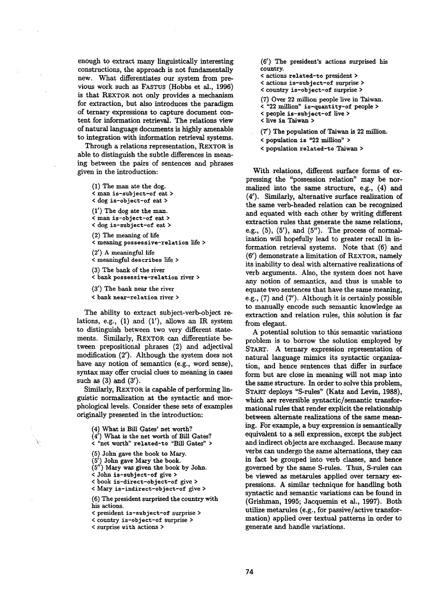enough to extract many linguistically interesting constructions, the approach is not fundamentally new. What differentiates our system from previous work such as FASTUS (Hobbs et al., 1996) is that REXTOR not only provides a mechanism for extraction, but also introduces the paradigm of ternary expressions to capture document content for information retrieval. The relations view of natural language documents is highly amenable to integration with information retrieval systems.

Through a relations representation, REXTOR is able to distinguish the subtle differences in meaning between the pairs of sentences and phrases given in the introduction:

(1) The man ate the dog. **< man is-subject-of eat >**  < dog is-object-of eat > (I') The dog ate the man. **< man is-object-of eat > < dog is-subject-of eat >**  (2) The meaning of life < meaning possessive-relation life > (2') A meaningful life < meaningful describes life > (3) The bank of the river < bank possessive-relation river >

(3') The bank near the river

< bank near-relation river >

The ability to extract subject-verb-object relations, e.g.,  $(1)$  and  $(1')$ , allows an IR system to distinguish between two very different statements. Similarly, REXTOR can differentiate between prepositional phrases (2) and adjectival modification (2'). Although the system does not have any notion of semantics (e.g., word sense), syntax may offer crucial clues to meaning in cases such as  $(3)$  and  $(3')$ .

Similarly, REXTOR is capable of performing linguistic normalization at the syntactic and morphological levels. Consider these sets of examples originally presented in the introduction:

- (4) What is Bill Gates' net worth?
- (4') What is the net worth of Bill Gates? < "net worth" related-to "Bill Gates" >
- 
- (5) John gave the book to Mary.
- (5') John gave Mary the book.
- (5") Mary was given the book by John.
- < John is-subject-of give >
- < book is-direct-object-of give >
- < Mary is-indirect-object-of give >

(6) The president surprised the country with his actions.

**<** president is-subject-of surprise >

< country is-object-of surprise >

< surprise with actions >

(6') The president's actions surprised his country.

- **< actions related-to president >**
- < actions is-subject-of surprise >
- < country is-object-of surprise >

(7) Over 22 million people live in Taiwan.

< "22 million" is-quantity-of people >

**<** people is-subject-of live >

< live in Taiwan >

(7') The population of Taiwan is 22 million.

< population is "22 million" >

< population related-to Taiwan >

With relations, different surface forms of expressing the "possession relation" may be normalized into the same structure, e.g., (4) and (4'). Similarly, alternative surface realization of the same verb-headed relation can be recognized and equated with each other by writing different extraction rules that generate the same relations, e.g.,  $(5)$ ,  $(5')$ , and  $(5'')$ . The process of normalization will hopefully lead to greater recall in information retrieval systems. Note that (6) and (6') demonstrate a limitation of REXTOR, namely its inability to deal with alternative realizations of verb arguments. Also, the system does not have any notion of semantics, and thus is unable to equate two sentences that have the same meaning, e.g., (7) and (7'). Although it is certainly possible to manually encode such semantic knowledge as extraction and relation rules, this solution is far from elegant.

A potential solution to this semantic variations problem is to borrow the solution employed by START. A ternary expression representation of natural language mimics its syntactic organization, and hence sentences that differ in surface form but are close in meaning will not map into the same structure. In order to solve this problem, START deploys "S-rules" (Katz and Levin, 1988), which are reversible syntactic/semantic transformational rules that render explicit the relationship between alternate realizations of the same meaning. For example, a buy expression is semantically equivalent to a sell expression, except the subject and indirect objects are exchanged. Because many verbs can undergo the same alternations, they can in fact be grouped into verb classes, and hence governed by the same S-rules. Thus, S-rules can be viewed as metarules applied over ternary expressions. A similar technique for handling both syntactic and semantic variations can be found in (Grishman, 1995; Jacquemin et al., 1997). Both utilize metarules (e.g., for passive/active transformation) applied over textual patterns in order to generate and handle variations.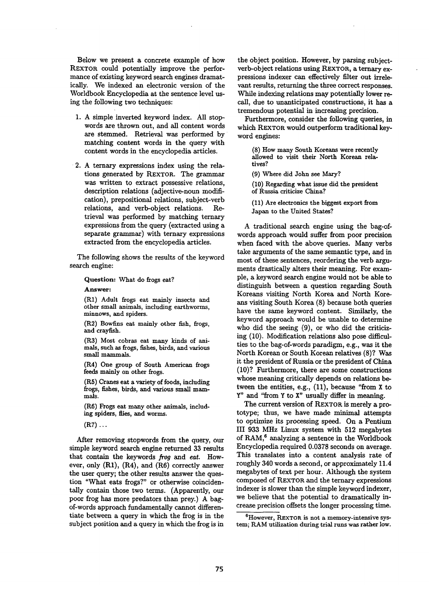Below we present a concrete example of how REXTOR could potentially improve the performance of existing keyword search engines dramatically. We indexed an electronic version of the Worldbook Encyclopedia at the sentence level using the following two techniques:

- 1. A simple inverted keyword index. All stopwords are thrown out, and all content words are stemmed. Retrieval was performed by matching content words in the query with content words in the encyclopedia articles.
- 2. A ternary expressions index using the relations generated by REXTOR. The grammar was written to extract possessive relations, description relations (adjective-noun modification), prepositional relations, subject-verb relations, and verb-object relations. Retrieval was performed by matching ternary expressions from the query (extracted using a separate grammar) with ternary expressions extracted from the encyclopedia articles.

The following shows the results of the keyword search engine:

Question: What do frogs eat?

#### **Answer:**

(R1) Adult frogs eat mainly insects and other small animals, including earthworms, minnows, and spiders.

(R2) Bowfins eat mainly other fish, frogs, and crayfish.

(R3) Most cobras eat many kinds of animals, such as frogs, fishes, birds, and various small mammals.

(R4) One group of South American frogs feeds mainly on other frogs.

(RS) Cranes eat a variety of foods, including frogs, fishes, birds, and various small mammals.

(R6) Frogs eat many other animals, including spiders, flies, and worms.

 $(R7)$  ...

After removing stopwords from the query, our simple keyword search engine returned 33 results that contain the keywords frog and *eat.* However, only (R1), (R4), and (R6) correctly answer the user query; the other results answer the question "What eats frogs?" or otherwise coincidentally contain those two terms. (Apparently, our poor frog has more predators than prey.) A bagof-words approach fundamentally cannot differentiate between a query in which the frog is in the subject position and a query in which the frog is in the object position. However, by parsing subjectverb-object relations using REXTOR, a ternary expressions indexer can effectively filter out irrelevant results, returning the three correct responses. While indexing relations may potentially lower recall, due to unanticipated constructions, it has a tremendous potential in increasing precision.

Furthermore, consider the following queries, in which REXTOR would outperform traditional keyword engines:

(8) How many South Koreans were recently allowed to visit their North Korean relatives?

(9) Where did John see Mary?

(10) Regarding what issue did the president of Russia criticize China?

(11) Are electronics the biggest export from Japan to the United States?

A traditional search engine using the bag-ofwords approach would suffer from poor precision when faced with the above queries. Many verbs take arguments of the same semantic type, and in most of these sentences, reordering the verb arguments drastically alters their meaning. For example, a keyword search engine would not be able to distinguish between a question regarding South Koreans visiting North Korea and North Koreans visiting South Korea (8) because both queries have the same keyword content. Similarly, the keyword approach would be unable to determine who did the seeing (9), or who did the criticizing  $(10)$ . Modification relations also pose difficulties to the bag-of-words paradigm, e.g., was it the North Korean or South Korean relatives (8)? Was it the president of Russia or the president of China (10)? Furthermore, there are some constructions whose meaning critically depends on relations between the entities, e.g., (11), because "from X to Y" and "from Y to X" usually differ in meaning.

The current version of REXTOR is merely a prototype; thus, we have made minimal attempts to optimize its processing speed. On a Pentium Ill 933 MHz Linux system with 512 megabytes of RAM,<sup>6</sup> analyzing a sentence in the Worldbook Encyclopedia required 0.0378 seconds on average. This translates into a content analysis rate of roughly 340 words a second, or approximately 11.4 megabytes of text per hour. Although the system composed of REXTOR and the ternary expressions indexer is slower than the simple keyword indexer, we believe that the potential to dramatically increase precision offsets the longer processing time.

 ${}^{6}$ However, REXTOR is not a memory-intensive system; RAM utilization during trial runs was rather low.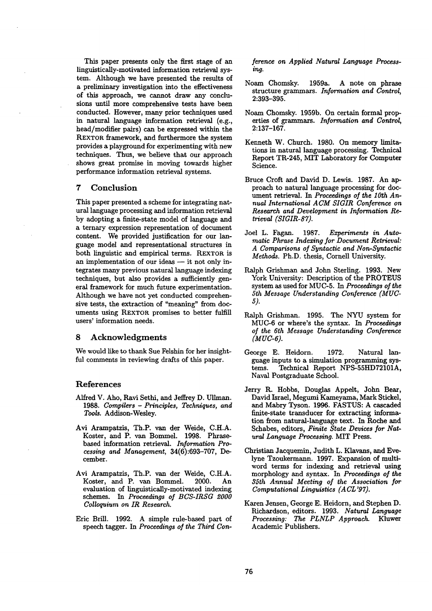This paper presents only the first stage of an linguistically-motivated information retrieval system. Although we have presented the results of a preliminary investigation into the effectiveness of this approach, we cannot draw any conclusions until more comprehensive tests have been conducted. However, many prior techniques used in natural language information retrieval (e.g., head/modifier pairs) can be expressed within the REXTOR framework, and furthermore the system provides a playground for experimenting with new techniques. Thus, we believe that our approach shows great promise in moving towards higher performance information retrieval systems.

## 7 Conclusion

This paper presented a scheme for integrating natural language processing and information retrieval by adopting a finite-state model of language and a ternary expression representation of document content. We provided justification for our language model and representational structures in both linguistic and empirical terms. REXTOR is an implementation of our ideas  $-$  it not only integrates many previous natural language indexing techniques, but also provides a sufficiently general framework for much future experimentation. Although we have not yet conducted comprehensive tests, the extraction of "meaning" from documents using REXTOR promises to better fulfill users' information needs.

## **8** Acknowledgments

We would like to thank Sue Felshin for her insightful comments in reviewing drafts of this paper.

#### References

- Alfred V. Aho, Ravi Sethi, and Jeffrey D. Ullman. 1988. *Compilers- Principles, Techniques, and Tools.* Addison-Wesley.
- Avi Arampatzis, Th.P. van der Weide, C.H.A. Koster, and P. van Bommel. 1998. Phrasebased information retrieval. *Information Processing and Management,* 34(6):693-707, December.
- Avi Arampatzis, Th.P. van der Weide, C.H.A. Koster, and P. van Bommel. 2000. An evaluation of linguistically-motivated indexing schemes. In Proceedings of BCS-IRSG 2000 *Colloquium on IR Research.*
- Eric Brill. 1992. A simple rule-based part of speech tagger. In *Proceedings of the Third Con-*

*.ference on Applied Natural Language Processing.* 

- Noam Chomsky. 1959a. A note on phrase structure grammars. *Information and Control,*  2:393-395.
- Noam Chomsky. 1959b. On certain formal properties of grammars. *Information and Control,*  2:137-167.
- Kenneth W. Church. 1980. On memory limitations in natural language processing. Technical Report TR-245, MIT Laboratory for Computer Science.
- Bruce Croft and David D. Lewis. 1987. An approach to natural language processing for document retrieval. In *Proceedings of the lOth Annual International ACM SIGIR Conference on Research and Development in Information Retrieval (SIGIR-87).*
- Joel L. Fagan. 1987. *Experiments in Automatic Phrase Indexing for Document Retrieval: A Comparisons of Syntactic and Non-Syntactic Methods.* Ph.D. thesis, Cornell University.
- Ralph Grishman and John Sterling. 1993. New York University: Description of the PROTEUS system as used for MUC-5. In *Proceedings of the 5th Message Understanding Conference (MUG-5).*
- Ralph Grishman. 1995. The NYU system for MUC-6 or where's the syntax. In *Proceedings of the 6th Message Understanding Conference (MUC-6).*
- George E. Heidorn. 1972, Natural language inputs to a simulation programming systems. Technical Report NPS-55HD72101A, Naval Postgraduate School.
- Jerry R. Hobbs, Douglas Appelt, John Bear, David Israel, Megumi Kameyama, Mark Stickel, and Mabry Tyson. 1996. FASTUS: A cascaded finite-state transducer for extracting information from natural-language text. In Roche and Schabes, editors, *Finite State Devices for Natural Language Processing.* MIT Press.
- Christian Jacquemin, Judith L. Klavans, and Evelyne Tzoukermann. 1997. Expansion of multiword terms for indexing and retrieval using morphology and syntax. In *Proceedings of the 35th Annual Meeting of the Association for Computational Linguistics (A CL '97).*
- Karen Jensen, George E. Heidorn, and Stephen D. Richardson, editors. 1993. *Natural Language Processing: The PLNLP Approach.* Kluwer Academic Publishers.